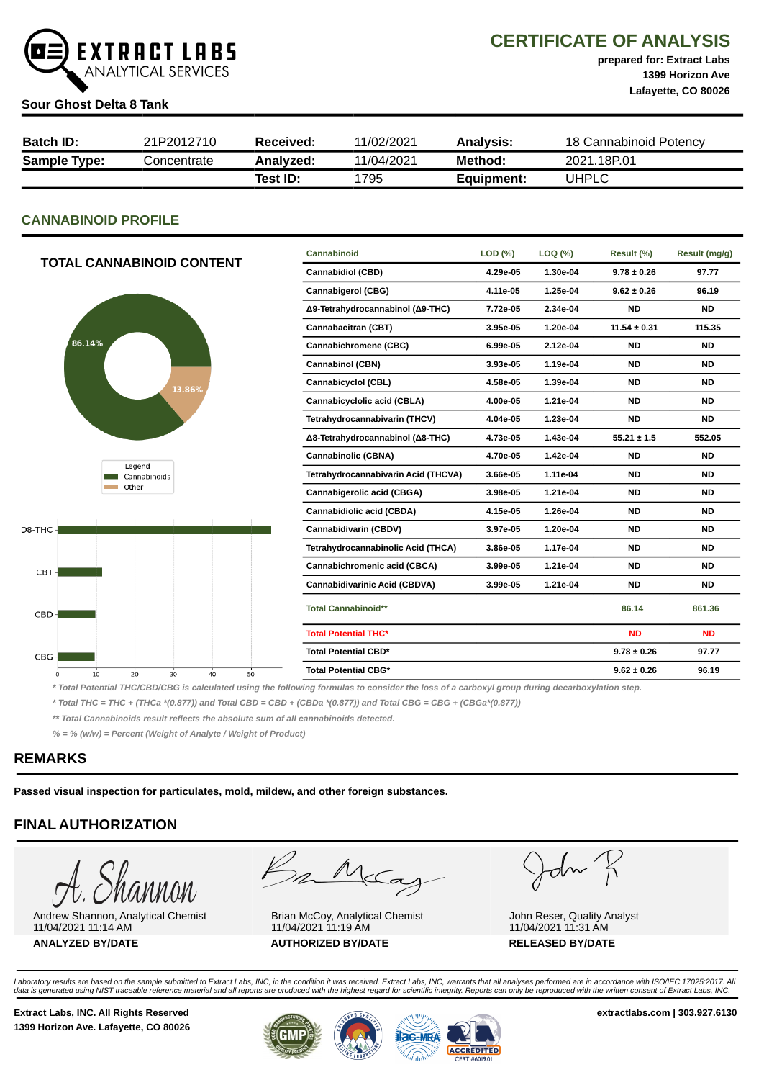

# CERTIFICATE OF ANALYSIS

prepared for: Extract Labs 1399 Horizon Ave Lafayette, CO 80026

#### Sour Ghost Delta 8 Tank

| <b>Batch ID:</b>    | 21P2012710  | Received: | 11/02/2021 | <b>Analysis:</b> | 18 Cannabinoid Potency |
|---------------------|-------------|-----------|------------|------------------|------------------------|
| <b>Sample Type:</b> | Concentrate | Analyzed: | 11/04/2021 | Method:          | 2021.18P.01            |
|                     |             | Test ID:  | 1795       | Equipment:       | UHPLC                  |

# CANNABINOID PROFILE

| <b>TOTAL CANNABINOID CONTENT</b>       | Cannabinoid                         | LOD (%)  | LOQ (%)  | Result (%)       | Result (mg/g) |
|----------------------------------------|-------------------------------------|----------|----------|------------------|---------------|
|                                        | <b>Cannabidiol (CBD)</b>            | 4.29e-05 | 1.30e-04 | $9.78 \pm 0.26$  | 97.77         |
|                                        | <b>Cannabigerol (CBG)</b>           | 4.11e-05 | 1.25e-04 | $9.62 \pm 0.26$  | 96.19         |
|                                        | Δ9-Tetrahydrocannabinol (Δ9-THC)    | 7.72e-05 | 2.34e-04 | <b>ND</b>        | <b>ND</b>     |
|                                        | Cannabacitran (CBT)                 | 3.95e-05 | 1.20e-04 | $11.54 \pm 0.31$ | 115.35        |
| 86.14%                                 | Cannabichromene (CBC)               | 6.99e-05 | 2.12e-04 | <b>ND</b>        | <b>ND</b>     |
|                                        | <b>Cannabinol (CBN)</b>             | 3.93e-05 | 1.19e-04 | <b>ND</b>        | <b>ND</b>     |
| 13.86%                                 | Cannabicyclol (CBL)                 | 4.58e-05 | 1.39e-04 | <b>ND</b>        | <b>ND</b>     |
|                                        | Cannabicyclolic acid (CBLA)         | 4.00e-05 | 1.21e-04 | <b>ND</b>        | <b>ND</b>     |
|                                        | Tetrahydrocannabivarin (THCV)       | 4.04e-05 | 1.23e-04 | <b>ND</b>        | <b>ND</b>     |
|                                        | Δ8-Tetrahydrocannabinol (Δ8-THC)    | 4.73e-05 | 1.43e-04 | $55.21 \pm 1.5$  | 552.05        |
|                                        | <b>Cannabinolic (CBNA)</b>          | 4.70e-05 | 1.42e-04 | <b>ND</b>        | <b>ND</b>     |
| Legend<br>Cannabinoids                 | Tetrahydrocannabivarin Acid (THCVA) | 3.66e-05 | 1.11e-04 | <b>ND</b>        | <b>ND</b>     |
| Other                                  | Cannabigerolic acid (CBGA)          | 3.98e-05 | 1.21e-04 | <b>ND</b>        | <b>ND</b>     |
|                                        | Cannabidiolic acid (CBDA)           | 4.15e-05 | 1.26e-04 | <b>ND</b>        | <b>ND</b>     |
| D8-THC-                                | Cannabidivarin (CBDV)               | 3.97e-05 | 1.20e-04 | <b>ND</b>        | <b>ND</b>     |
|                                        | Tetrahydrocannabinolic Acid (THCA)  | 3.86e-05 | 1.17e-04 | <b>ND</b>        | <b>ND</b>     |
| CBT-                                   | Cannabichromenic acid (CBCA)        | 3.99e-05 | 1.21e-04 | <b>ND</b>        | <b>ND</b>     |
|                                        | Cannabidivarinic Acid (CBDVA)       | 3.99e-05 | 1.21e-04 | <b>ND</b>        | <b>ND</b>     |
| CBD-                                   | <b>Total Cannabinoid**</b>          |          |          | 86.14            | 861.36        |
|                                        | <b>Total Potential THC*</b>         |          |          | <b>ND</b>        | <b>ND</b>     |
| CBG-                                   | Total Potential CBD*                |          |          | $9.78 \pm 0.26$  | 97.77         |
| 10<br>20<br>30<br>40<br>50<br>$\Omega$ | <b>Total Potential CBG*</b>         |          |          | $9.62 \pm 0.26$  | 96.19         |

\* Total Potential THC/CBD/CBG is calculated using the following formulas to consider the loss of a carboxyl group during decarboxylation step.

\* Total THC = THC + (THCa \*(0.877)) and Total CBD = CBD + (CBDa \*(0.877)) and Total CBG = CBG + (CBGa\*(0.877))

\*\* Total Cannabinoids result reflects the absolute sum of all cannabinoids detected.

% = % (w/w) = Percent (Weight of Analyte / Weight of Product)

# REMARKS

Passed visual inspection for particulates, mold, mildew, and other foreign substances.

# FINAL AUTHORIZATION

Andrew Shannon, Analytical Chemist 11/04/2021 11:14 AM ANALYZED BY/DATE AUTHORIZED BY/DATE RELEASED BY/DATE

Bankag

Brian McCoy, Analytical Chemist 11/04/2021 11:19 AM

John K

John Reser, Quality Analyst 11/04/2021 11:31 AM

Laboratory results are based on the sample submitted to Extract Labs, INC, in the condition it was received. Extract Labs, INC, warrants that all analyses performed are in accordance with ISO/IEC 17025:2017. All<br>data is ge

Extract Labs, INC. All Rights Reserved **Extract Labs, INC. All Rights Reserved** extractlabs.com | 303.927.6130 1399 Horizon Ave. Lafayette, CO 80026



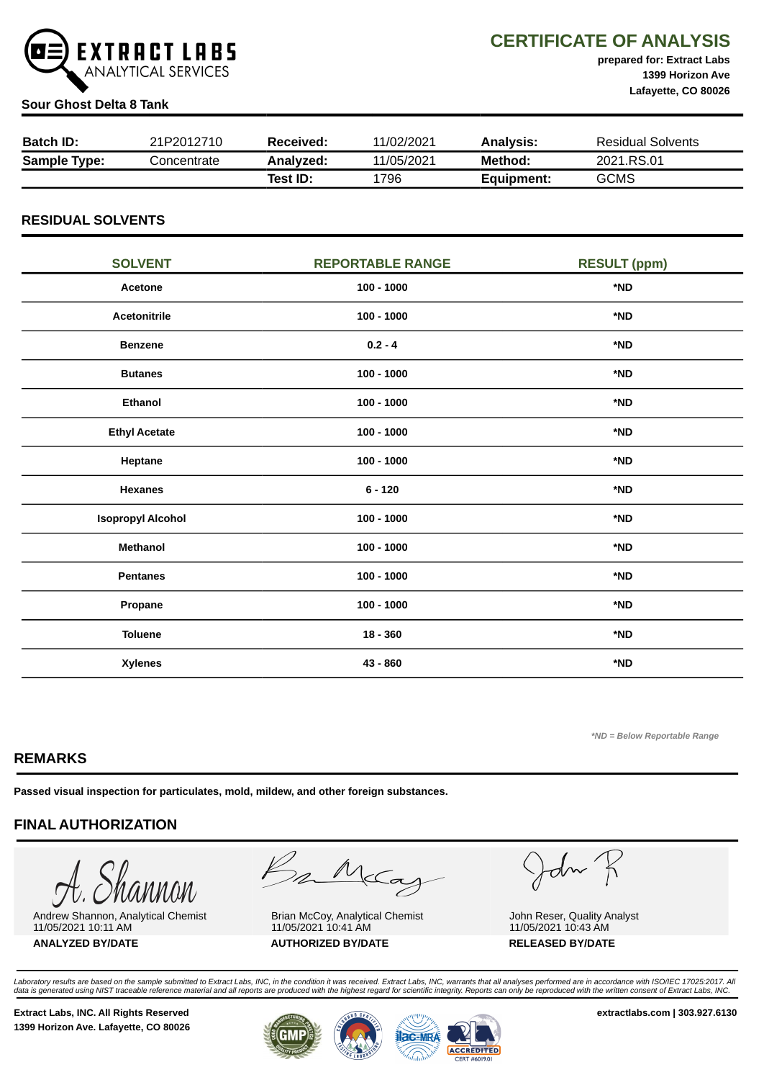

CERTIFICATE OF ANALYSIS

prepared for: Extract Labs 1399 Horizon Ave Lafayette, CO 80026

### Sour Ghost Delta 8 Tank

| <b>Batch ID:</b>    | 21P2012710  | Received: | 11/02/2021 | Analvsis:  | <b>Residual Solvents</b> |
|---------------------|-------------|-----------|------------|------------|--------------------------|
| <b>Sample Type:</b> | Concentrate | Analyzed: | 11/05/2021 | Method:    | 2021.RS.01               |
|                     |             | Test ID:  | 1796       | Equipment: | <b>GCMS</b>              |

# RESIDUAL SOLVENTS

| <b>SOLVENT</b>           | <b>REPORTABLE RANGE</b> | <b>RESULT (ppm)</b> |
|--------------------------|-------------------------|---------------------|
| Acetone                  | $100 - 1000$            | *ND                 |
| <b>Acetonitrile</b>      | $100 - 1000$            | *ND                 |
| <b>Benzene</b>           | $0.2 - 4$               | *ND                 |
| <b>Butanes</b>           | $100 - 1000$            | *ND                 |
| <b>Ethanol</b>           | $100 - 1000$            | *ND                 |
| <b>Ethyl Acetate</b>     | $100 - 1000$            | *ND                 |
| Heptane                  | $100 - 1000$            | *ND                 |
| <b>Hexanes</b>           | $6 - 120$               | *ND                 |
| <b>Isopropyl Alcohol</b> | $100 - 1000$            | *ND                 |
| <b>Methanol</b>          | $100 - 1000$            | *ND                 |
| <b>Pentanes</b>          | $100 - 1000$            | *ND                 |
| Propane                  | $100 - 1000$            | *ND                 |
| <b>Toluene</b>           | $18 - 360$              | *ND                 |
| <b>Xylenes</b>           | 43 - 860                | *ND                 |

\*ND = Below Reportable Range

# REMARKS

Passed visual inspection for particulates, mold, mildew, and other foreign substances.

# FINAL AUTHORIZATION

Andrew Shannon, Analytical Chemist 11/05/2021 10:11 AM ANALYZED BY/DATE AUTHORIZED BY/DATE RELEASED BY/DATE

Bankay

Brian McCoy, Analytical Chemist 11/05/2021 10:41 AM

John R

John Reser, Quality Analyst 11/05/2021 10:43 AM

Laboratory results are based on the sample submitted to Extract Labs, INC, in the condition it was received. Extract Labs, INC, warrants that all analyses performed are in accordance with ISO/IEC 17025:2017. All<br>data is ge

Extract Labs, INC. All Rights Reserved extractlabs.com | 303.927.6130 1399 Horizon Ave. Lafayette, CO 80026